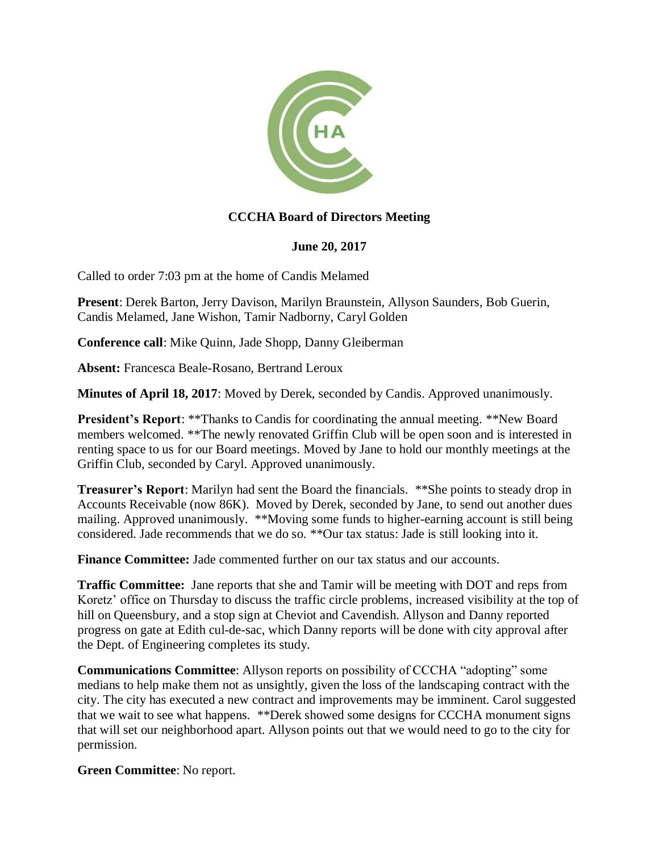

## **CCCHA Board of Directors Meeting**

## **June 20, 2017**

Called to order 7:03 pm at the home of Candis Melamed

**Present**: Derek Barton, Jerry Davison, Marilyn Braunstein, Allyson Saunders, Bob Guerin, Candis Melamed, Jane Wishon, Tamir Nadborny, Caryl Golden

**Conference call**: Mike Quinn, Jade Shopp, Danny Gleiberman

**Absent:** Francesca Beale-Rosano, Bertrand Leroux

**Minutes of April 18, 2017**: Moved by Derek, seconded by Candis. Approved unanimously.

**President's Report: \*\*Thanks to Candis for coordinating the annual meeting. \*\*New Board** members welcomed. \*\*The newly renovated Griffin Club will be open soon and is interested in renting space to us for our Board meetings. Moved by Jane to hold our monthly meetings at the Griffin Club, seconded by Caryl. Approved unanimously.

**Treasurer's Report**: Marilyn had sent the Board the financials. \*\*She points to steady drop in Accounts Receivable (now 86K). Moved by Derek, seconded by Jane, to send out another dues mailing. Approved unanimously. \*\*Moving some funds to higher-earning account is still being considered. Jade recommends that we do so. \*\*Our tax status: Jade is still looking into it.

**Finance Committee:** Jade commented further on our tax status and our accounts.

**Traffic Committee:** Jane reports that she and Tamir will be meeting with DOT and reps from Koretz' office on Thursday to discuss the traffic circle problems, increased visibility at the top of hill on Queensbury, and a stop sign at Cheviot and Cavendish. Allyson and Danny reported progress on gate at Edith cul-de-sac, which Danny reports will be done with city approval after the Dept. of Engineering completes its study.

**Communications Committee**: Allyson reports on possibility of CCCHA "adopting" some medians to help make them not as unsightly, given the loss of the landscaping contract with the city. The city has executed a new contract and improvements may be imminent. Carol suggested that we wait to see what happens. \*\*Derek showed some designs for CCCHA monument signs that will set our neighborhood apart. Allyson points out that we would need to go to the city for permission.

**Green Committee**: No report.